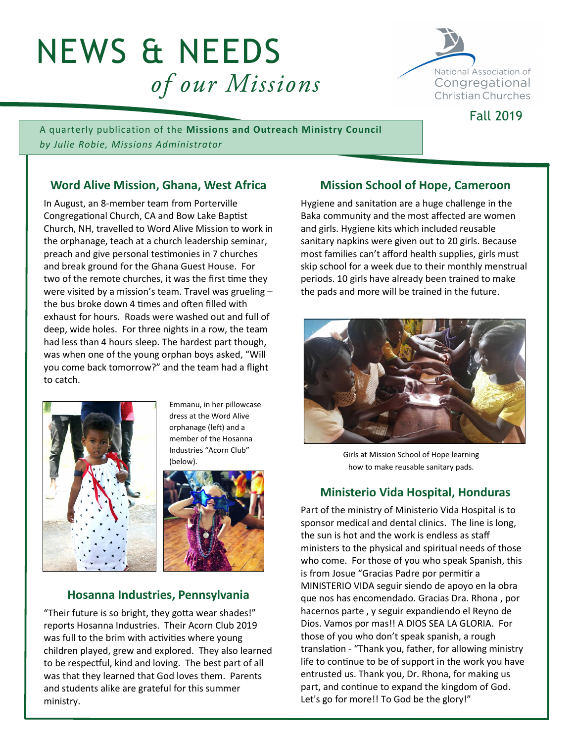# NEWS & NEEDS of our Missions



Fall 2019

A quarterly publication of the **Missions and Outreach Ministry Council** *by Julie Robie, Missions Administrator*

# **Word Alive Mission, Ghana, West Africa**

In August, an 8-member team from Porterville Congregational Church, CA and Bow Lake Baptist Church, NH, travelled to Word Alive Mission to work in the orphanage, teach at a church leadership seminar, preach and give personal testimonies in 7 churches and break ground for the Ghana Guest House. For two of the remote churches, it was the first time they were visited by a mission's team. Travel was grueling – the bus broke down 4 times and often filled with exhaust for hours. Roads were washed out and full of deep, wide holes. For three nights in a row, the team had less than 4 hours sleep. The hardest part though, was when one of the young orphan boys asked, "Will you come back tomorrow?" and the team had a flight to catch.



Emmanu, in her pillowcase dress at the Word Alive orphanage (left) and a member of the Hosanna Industries "Acorn Club" (below).



## **Hosanna Industries, Pennsylvania**

"Their future is so bright, they gotta wear shades!" reports Hosanna Industries. Their Acorn Club 2019 was full to the brim with activities where young children played, grew and explored. They also learned to be respectful, kind and loving. The best part of all was that they learned that God loves them. Parents and students alike are grateful for this summer ministry.

# **Mission School of Hope, Cameroon**

Hygiene and sanitation are a huge challenge in the Baka community and the most affected are women and girls. Hygiene kits which included reusable sanitary napkins were given out to 20 girls. Because most families can't afford health supplies, girls must skip school for a week due to their monthly menstrual periods. 10 girls have already been trained to make the pads and more will be trained in the future.



Girls at Mission School of Hope learning how to make reusable sanitary pads.

# **Ministerio Vida Hospital, Honduras**

Part of the ministry of Ministerio Vida Hospital is to sponsor medical and dental clinics. The line is long, the sun is hot and the work is endless as staff ministers to the physical and spiritual needs of those who come. For those of you who speak Spanish, this is from Josue "Gracias Padre por permitir a MINISTERIO VIDA seguir siendo de apoyo en la obra que nos has encomendado. Gracias Dra. Rhona , por hacernos parte , y seguir expandiendo el Reyno de Dios. Vamos por mas!! A DIOS SEA LA GLORIA. For those of you who don't speak spanish, a rough translation - "Thank you, father, for allowing ministry life to continue to be of support in the work you have entrusted us. Thank you, Dr. Rhona, for making us part, and continue to expand the kingdom of God. Let's go for more!! To God be the glory!"